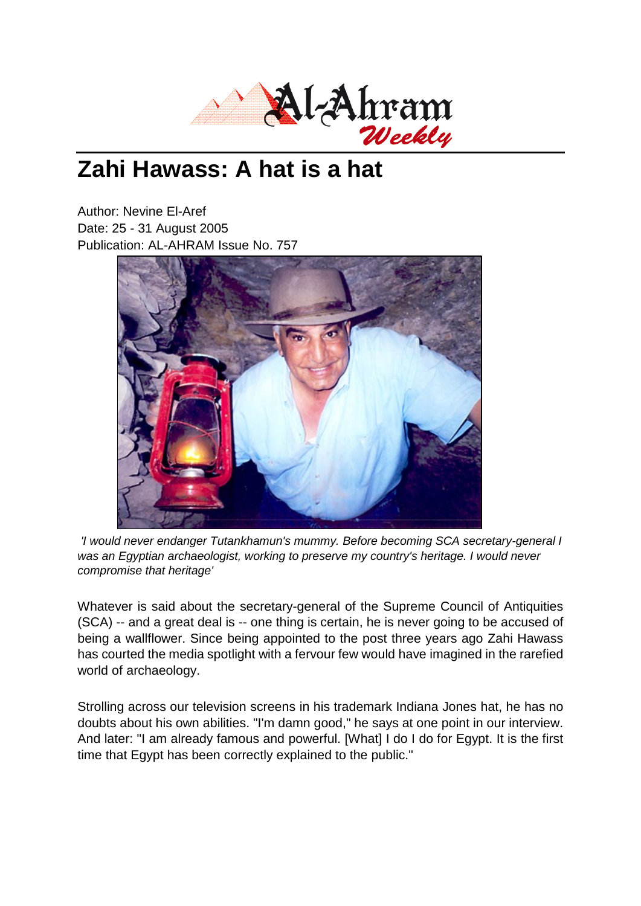

## **Zahi Hawass: A hat is a hat**

Author: Nevine El-Aref Date: 25 - 31 August 2005 Publication: AL-AHRAM Issue No. 757



*'I would never endanger Tutankhamun's mummy. Before becoming SCA secretary-general I was an Egyptian archaeologist, working to preserve my country's heritage. I would never compromise that heritage'*

Whatever is said about the secretary-general of the Supreme Council of Antiquities (SCA) -- and a great deal is -- one thing is certain, he is never going to be accused of being a wallflower. Since being appointed to the post three years ago Zahi Hawass has courted the media spotlight with a fervour few would have imagined in the rarefied world of archaeology.

Strolling across our television screens in his trademark Indiana Jones hat, he has no doubts about his own abilities. "I'm damn good," he says at one point in our interview. And later: "I am already famous and powerful. [What] I do I do for Egypt. It is the first time that Egypt has been correctly explained to the public."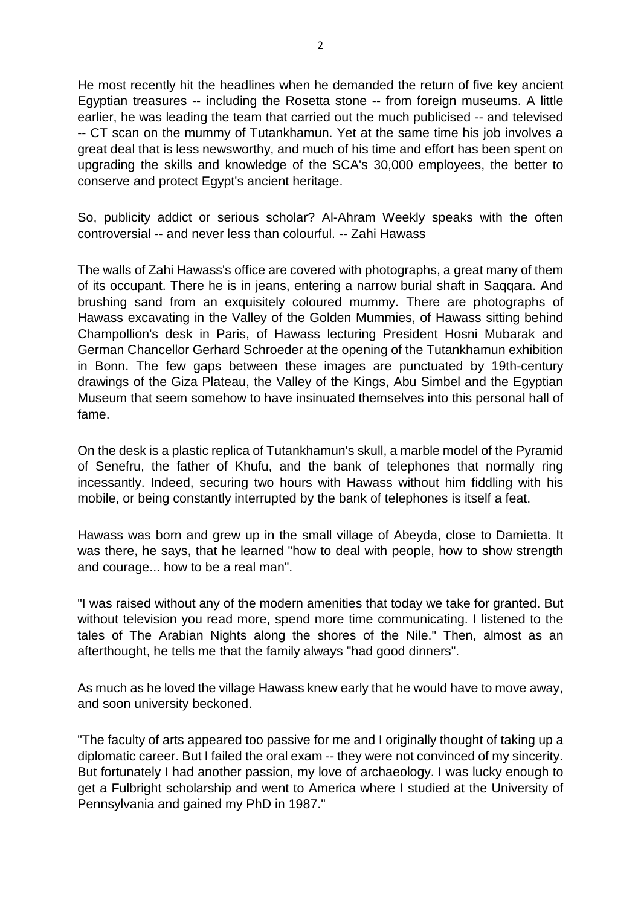He most recently hit the headlines when he demanded the return of five key ancient Egyptian treasures -- including the Rosetta stone -- from foreign museums. A little earlier, he was leading the team that carried out the much publicised -- and televised -- CT scan on the mummy of Tutankhamun. Yet at the same time his job involves a great deal that is less newsworthy, and much of his time and effort has been spent on upgrading the skills and knowledge of the SCA's 30,000 employees, the better to conserve and protect Egypt's ancient heritage.

So, publicity addict or serious scholar? Al-Ahram Weekly speaks with the often controversial -- and never less than colourful. -- Zahi Hawass

The walls of Zahi Hawass's office are covered with photographs, a great many of them of its occupant. There he is in jeans, entering a narrow burial shaft in Saqqara. And brushing sand from an exquisitely coloured mummy. There are photographs of Hawass excavating in the Valley of the Golden Mummies, of Hawass sitting behind Champollion's desk in Paris, of Hawass lecturing President Hosni Mubarak and German Chancellor Gerhard Schroeder at the opening of the Tutankhamun exhibition in Bonn. The few gaps between these images are punctuated by 19th-century drawings of the Giza Plateau, the Valley of the Kings, Abu Simbel and the Egyptian Museum that seem somehow to have insinuated themselves into this personal hall of fame.

On the desk is a plastic replica of Tutankhamun's skull, a marble model of the Pyramid of Senefru, the father of Khufu, and the bank of telephones that normally ring incessantly. Indeed, securing two hours with Hawass without him fiddling with his mobile, or being constantly interrupted by the bank of telephones is itself a feat.

Hawass was born and grew up in the small village of Abeyda, close to Damietta. It was there, he says, that he learned "how to deal with people, how to show strength and courage... how to be a real man".

"I was raised without any of the modern amenities that today we take for granted. But without television you read more, spend more time communicating. I listened to the tales of The Arabian Nights along the shores of the Nile." Then, almost as an afterthought, he tells me that the family always "had good dinners".

As much as he loved the village Hawass knew early that he would have to move away, and soon university beckoned.

"The faculty of arts appeared too passive for me and I originally thought of taking up a diplomatic career. But I failed the oral exam -- they were not convinced of my sincerity. But fortunately I had another passion, my love of archaeology. I was lucky enough to get a Fulbright scholarship and went to America where I studied at the University of Pennsylvania and gained my PhD in 1987."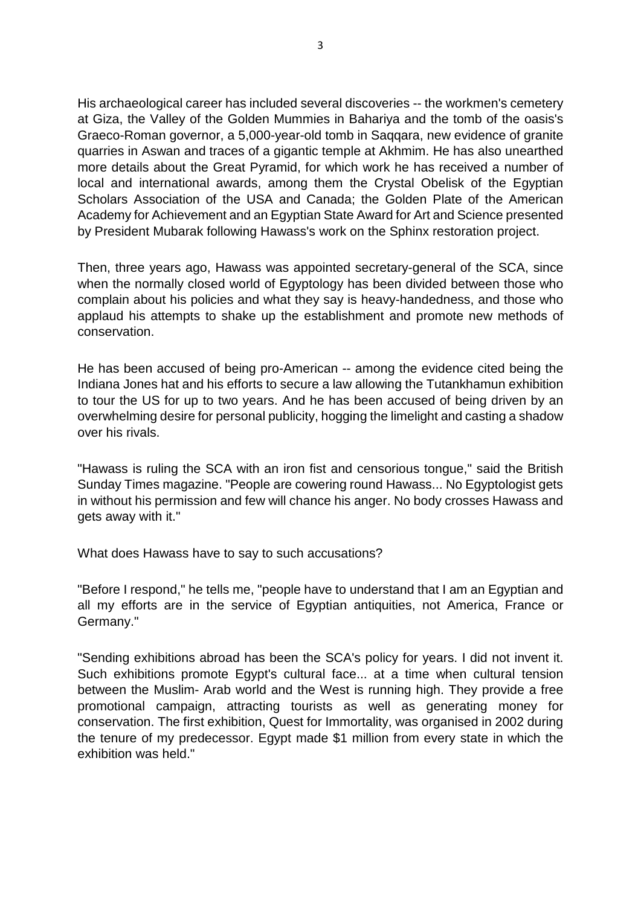His archaeological career has included several discoveries -- the workmen's cemetery at Giza, the Valley of the Golden Mummies in Bahariya and the tomb of the oasis's Graeco-Roman governor, a 5,000-year-old tomb in Saqqara, new evidence of granite quarries in Aswan and traces of a gigantic temple at Akhmim. He has also unearthed more details about the Great Pyramid, for which work he has received a number of local and international awards, among them the Crystal Obelisk of the Egyptian Scholars Association of the USA and Canada; the Golden Plate of the American Academy for Achievement and an Egyptian State Award for Art and Science presented by President Mubarak following Hawass's work on the Sphinx restoration project.

Then, three years ago, Hawass was appointed secretary-general of the SCA, since when the normally closed world of Egyptology has been divided between those who complain about his policies and what they say is heavy-handedness, and those who applaud his attempts to shake up the establishment and promote new methods of conservation.

He has been accused of being pro-American -- among the evidence cited being the Indiana Jones hat and his efforts to secure a law allowing the Tutankhamun exhibition to tour the US for up to two years. And he has been accused of being driven by an overwhelming desire for personal publicity, hogging the limelight and casting a shadow over his rivals.

"Hawass is ruling the SCA with an iron fist and censorious tongue," said the British Sunday Times magazine. "People are cowering round Hawass... No Egyptologist gets in without his permission and few will chance his anger. No body crosses Hawass and gets away with it."

What does Hawass have to say to such accusations?

"Before I respond," he tells me, "people have to understand that I am an Egyptian and all my efforts are in the service of Egyptian antiquities, not America, France or Germany."

"Sending exhibitions abroad has been the SCA's policy for years. I did not invent it. Such exhibitions promote Egypt's cultural face... at a time when cultural tension between the Muslim- Arab world and the West is running high. They provide a free promotional campaign, attracting tourists as well as generating money for conservation. The first exhibition, Quest for Immortality, was organised in 2002 during the tenure of my predecessor. Egypt made \$1 million from every state in which the exhibition was held."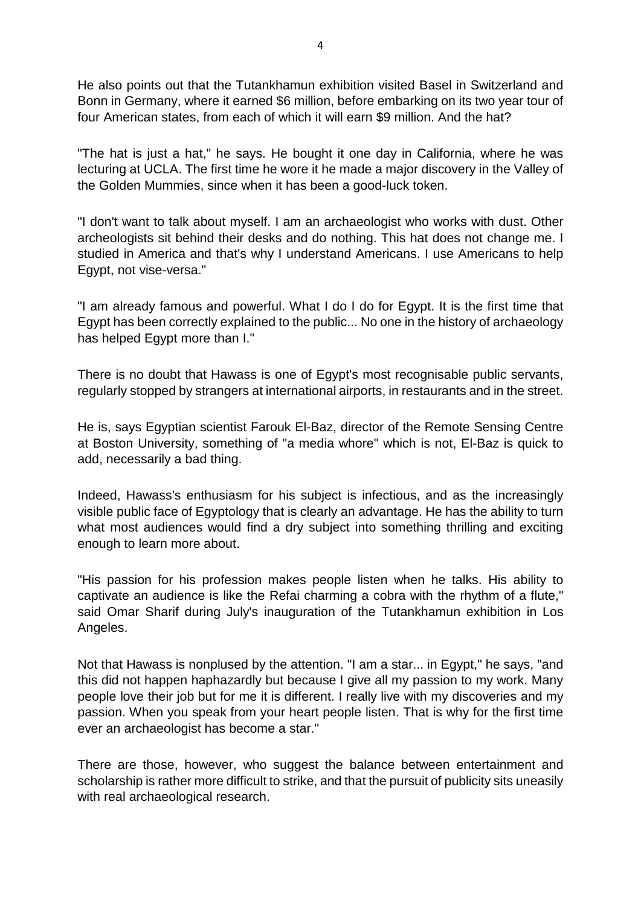He also points out that the Tutankhamun exhibition visited Basel in Switzerland and Bonn in Germany, where it earned \$6 million, before embarking on its two year tour of four American states, from each of which it will earn \$9 million. And the hat?

"The hat is just a hat," he says. He bought it one day in California, where he was lecturing at UCLA. The first time he wore it he made a major discovery in the Valley of the Golden Mummies, since when it has been a good-luck token.

"I don't want to talk about myself. I am an archaeologist who works with dust. Other archeologists sit behind their desks and do nothing. This hat does not change me. I studied in America and that's why I understand Americans. I use Americans to help Egypt, not vise-versa."

"I am already famous and powerful. What I do I do for Egypt. It is the first time that Egypt has been correctly explained to the public... No one in the history of archaeology has helped Egypt more than I."

There is no doubt that Hawass is one of Egypt's most recognisable public servants, regularly stopped by strangers at international airports, in restaurants and in the street.

He is, says Egyptian scientist Farouk El-Baz, director of the Remote Sensing Centre at Boston University, something of "a media whore" which is not, El-Baz is quick to add, necessarily a bad thing.

Indeed, Hawass's enthusiasm for his subject is infectious, and as the increasingly visible public face of Egyptology that is clearly an advantage. He has the ability to turn what most audiences would find a dry subject into something thrilling and exciting enough to learn more about.

"His passion for his profession makes people listen when he talks. His ability to captivate an audience is like the Refai charming a cobra with the rhythm of a flute," said Omar Sharif during July's inauguration of the Tutankhamun exhibition in Los Angeles.

Not that Hawass is nonplused by the attention. "I am a star... in Egypt," he says, "and this did not happen haphazardly but because I give all my passion to my work. Many people love their job but for me it is different. I really live with my discoveries and my passion. When you speak from your heart people listen. That is why for the first time ever an archaeologist has become a star."

There are those, however, who suggest the balance between entertainment and scholarship is rather more difficult to strike, and that the pursuit of publicity sits uneasily with real archaeological research.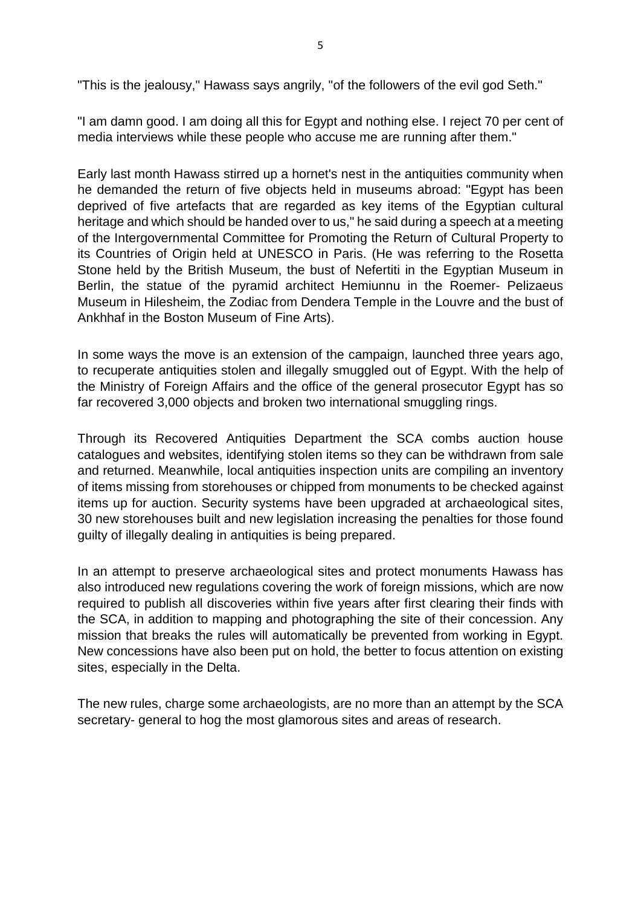"This is the jealousy," Hawass says angrily, "of the followers of the evil god Seth."

"I am damn good. I am doing all this for Egypt and nothing else. I reject 70 per cent of media interviews while these people who accuse me are running after them."

Early last month Hawass stirred up a hornet's nest in the antiquities community when he demanded the return of five objects held in museums abroad: "Egypt has been deprived of five artefacts that are regarded as key items of the Egyptian cultural heritage and which should be handed over to us," he said during a speech at a meeting of the Intergovernmental Committee for Promoting the Return of Cultural Property to its Countries of Origin held at UNESCO in Paris. (He was referring to the Rosetta Stone held by the British Museum, the bust of Nefertiti in the Egyptian Museum in Berlin, the statue of the pyramid architect Hemiunnu in the Roemer- Pelizaeus Museum in Hilesheim, the Zodiac from Dendera Temple in the Louvre and the bust of Ankhhaf in the Boston Museum of Fine Arts).

In some ways the move is an extension of the campaign, launched three years ago, to recuperate antiquities stolen and illegally smuggled out of Egypt. With the help of the Ministry of Foreign Affairs and the office of the general prosecutor Egypt has so far recovered 3,000 objects and broken two international smuggling rings.

Through its Recovered Antiquities Department the SCA combs auction house catalogues and websites, identifying stolen items so they can be withdrawn from sale and returned. Meanwhile, local antiquities inspection units are compiling an inventory of items missing from storehouses or chipped from monuments to be checked against items up for auction. Security systems have been upgraded at archaeological sites, 30 new storehouses built and new legislation increasing the penalties for those found guilty of illegally dealing in antiquities is being prepared.

In an attempt to preserve archaeological sites and protect monuments Hawass has also introduced new regulations covering the work of foreign missions, which are now required to publish all discoveries within five years after first clearing their finds with the SCA, in addition to mapping and photographing the site of their concession. Any mission that breaks the rules will automatically be prevented from working in Egypt. New concessions have also been put on hold, the better to focus attention on existing sites, especially in the Delta.

The new rules, charge some archaeologists, are no more than an attempt by the SCA secretary- general to hog the most glamorous sites and areas of research.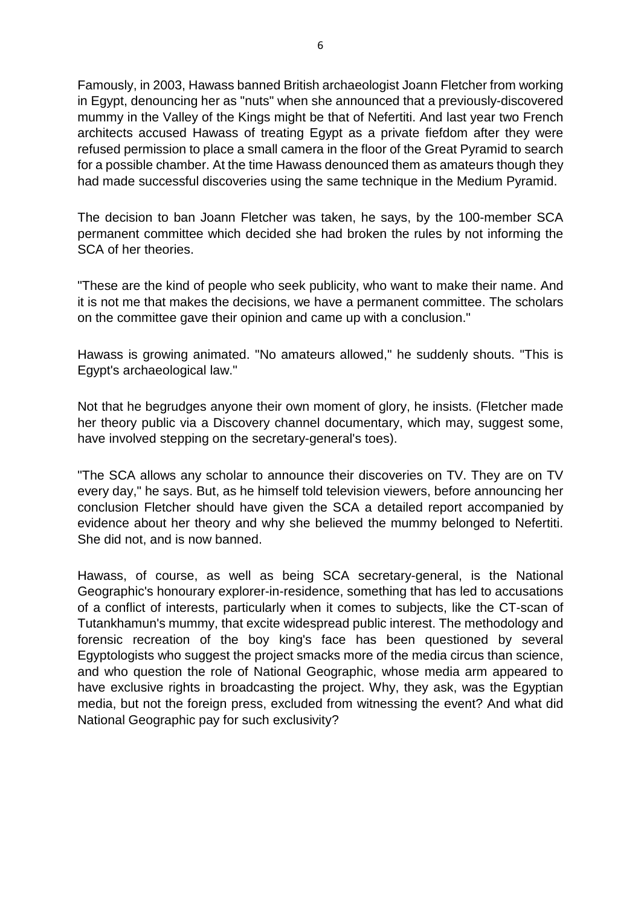Famously, in 2003, Hawass banned British archaeologist Joann Fletcher from working in Egypt, denouncing her as "nuts" when she announced that a previously-discovered mummy in the Valley of the Kings might be that of Nefertiti. And last year two French architects accused Hawass of treating Egypt as a private fiefdom after they were refused permission to place a small camera in the floor of the Great Pyramid to search for a possible chamber. At the time Hawass denounced them as amateurs though they had made successful discoveries using the same technique in the Medium Pyramid.

The decision to ban Joann Fletcher was taken, he says, by the 100-member SCA permanent committee which decided she had broken the rules by not informing the SCA of her theories.

"These are the kind of people who seek publicity, who want to make their name. And it is not me that makes the decisions, we have a permanent committee. The scholars on the committee gave their opinion and came up with a conclusion."

Hawass is growing animated. "No amateurs allowed," he suddenly shouts. "This is Egypt's archaeological law."

Not that he begrudges anyone their own moment of glory, he insists. (Fletcher made her theory public via a Discovery channel documentary, which may, suggest some, have involved stepping on the secretary-general's toes).

"The SCA allows any scholar to announce their discoveries on TV. They are on TV every day," he says. But, as he himself told television viewers, before announcing her conclusion Fletcher should have given the SCA a detailed report accompanied by evidence about her theory and why she believed the mummy belonged to Nefertiti. She did not, and is now banned.

Hawass, of course, as well as being SCA secretary-general, is the National Geographic's honourary explorer-in-residence, something that has led to accusations of a conflict of interests, particularly when it comes to subjects, like the CT-scan of Tutankhamun's mummy, that excite widespread public interest. The methodology and forensic recreation of the boy king's face has been questioned by several Egyptologists who suggest the project smacks more of the media circus than science, and who question the role of National Geographic, whose media arm appeared to have exclusive rights in broadcasting the project. Why, they ask, was the Egyptian media, but not the foreign press, excluded from witnessing the event? And what did National Geographic pay for such exclusivity?